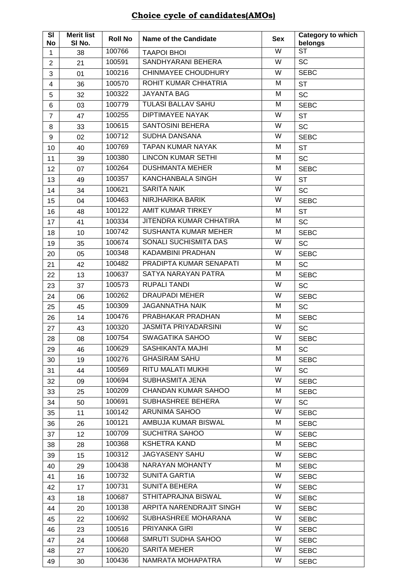| SI<br><b>No</b> | <b>Merit list</b><br>SI No. | <b>Roll No</b> | <b>Name of the Candidate</b> | <b>Sex</b>              | Category to which<br>belongs |
|-----------------|-----------------------------|----------------|------------------------------|-------------------------|------------------------------|
| 1               | 38                          | 100766         | <b>TAAPOI BHOI</b>           | $\overline{\mathsf{W}}$ | <b>ST</b>                    |
| $\overline{2}$  | 21                          | 100591         | SANDHYARANI BEHERA           | W                       | <b>SC</b>                    |
| 3               | 01                          | 100216         | <b>CHINMAYEE CHOUDHURY</b>   | W                       | <b>SEBC</b>                  |
| 4               | 36                          | 100570         | ROHIT KUMAR CHHATRIA         | M                       | <b>ST</b>                    |
| 5               | 32                          | 100322         | <b>JAYANTA BAG</b>           | M                       | <b>SC</b>                    |
| 6               | 03                          | 100779         | <b>TULASI BALLAV SAHU</b>    | M                       | <b>SEBC</b>                  |
| $\overline{7}$  | 47                          | 100255         | <b>DIPTIMAYEE NAYAK</b>      | W                       | <b>ST</b>                    |
| 8               | 33                          | 100615         | <b>SANTOSINI BEHERA</b>      | $\overline{\mathsf{W}}$ | SC                           |
| 9               | 02                          | 100712         | SUDHA DANSANA                | W                       | <b>SEBC</b>                  |
| 10              | 40                          | 100769         | <b>TAPAN KUMAR NAYAK</b>     | M                       | <b>ST</b>                    |
| 11              | 39                          | 100380         | <b>LINCON KUMAR SETHI</b>    | M                       | <b>SC</b>                    |
| 12              | 07                          | 100264         | <b>DUSHMANTA MEHER</b>       | M                       | <b>SEBC</b>                  |
| 13              | 49                          | 100357         | <b>KANCHANBALA SINGH</b>     | W                       | <b>ST</b>                    |
| 14              | 34                          | 100621         | <b>SARITA NAIK</b>           | W                       | <b>SC</b>                    |
| 15              | 04                          | 100463         | NIRJHARIKA BARIK             | W                       | <b>SEBC</b>                  |
| 16              | 48                          | 100122         | AMIT KUMAR TIRKEY            | M                       | <b>ST</b>                    |
| 17              | 41                          | 100334         | JITENDRA KUMAR CHHATIRA      | M                       | <b>SC</b>                    |
| 18              | 10                          | 100742         | <b>SUSHANTA KUMAR MEHER</b>  | M                       | <b>SEBC</b>                  |
| 19              | 35                          | 100674         | SONALI SUCHISMITA DAS        | W                       | <b>SC</b>                    |
| 20              | 05                          | 100348         | KADAMBINI PRADHAN            | W                       | <b>SEBC</b>                  |
| 21              | 42                          | 100482         | PRADIPTA KUMAR SENAPATI      | M                       | <b>SC</b>                    |
| 22              | 13                          | 100637         | SATYA NARAYAN PATRA          | M                       | <b>SEBC</b>                  |
| 23              | 37                          | 100573         | <b>RUPALI TANDI</b>          | W                       | <b>SC</b>                    |
| 24              | 06                          | 100262         | <b>DRAUPADI MEHER</b>        | W                       | <b>SEBC</b>                  |
| 25              | 45                          | 100309         | <b>JAGANNATHA NAIK</b>       | M                       | <b>SC</b>                    |
| 26              | 14                          | 100476         | PRABHAKAR PRADHAN            | M                       | <b>SEBC</b>                  |
| 27              | 43                          | 100320         | <b>JASMITA PRIYADARSINI</b>  | W                       | <b>SC</b>                    |
| 28              | 08                          | 100754         | SWAGATIKA SAHOO              | W                       | <b>SEBC</b>                  |
| 29              | 46                          | 100629         | SASHIKANTA MAJHI             | M                       | SC                           |
| 30              | 19                          | 100276         | <b>GHASIRAM SAHU</b>         | M                       | <b>SEBC</b>                  |
| 31              | 44                          | 100569         | RITU MALATI MUKHI            | W                       | SC                           |
| 32              | 09                          | 100694         | SUBHASMITA JENA              | W                       | <b>SEBC</b>                  |
| 33              | 25                          | 100209         | <b>CHANDAN KUMAR SAHOO</b>   | М                       | <b>SEBC</b>                  |
| 34              | 50                          | 100691         | SUBHASHREE BEHERA            | W                       | SC                           |
| 35              | 11                          | 100142         | ARUNIMA SAHOO                | W                       | <b>SEBC</b>                  |
| 36              | 26                          | 100121         | AMBUJA KUMAR BISWAL          | M                       | <b>SEBC</b>                  |
| 37              | 12                          | 100709         | SUCHITRA SAHOO               | W                       | <b>SEBC</b>                  |
| 38              | 28                          | 100368         | <b>KSHETRA KAND</b>          | М                       | <b>SEBC</b>                  |
| 39              | 15                          | 100312         | JAGYASENY SAHU               | W                       | <b>SEBC</b>                  |
| 40              | 29                          | 100438         | NARAYAN MOHANTY              | M                       | <b>SEBC</b>                  |
| 41              | 16                          | 100732         | <b>SUNITA GARTIA</b>         | W                       | <b>SEBC</b>                  |
| 42              | 17                          | 100731         | <b>SUNITA BEHERA</b>         | W                       | <b>SEBC</b>                  |
| 43              | 18                          | 100687         | STHITAPRAJNA BISWAL          | W                       | <b>SEBC</b>                  |
| 44              | 20                          | 100138         | ARPITA NARENDRAJIT SINGH     | W                       | <b>SEBC</b>                  |
| 45              | 22                          | 100692         | SUBHASHREE MOHARANA          | W                       | <b>SEBC</b>                  |
| 46              | 23                          | 100516         | PRIYANKA GIRI                | W                       | <b>SEBC</b>                  |
| 47              | 24                          | 100668         | SMRUTI SUDHA SAHOO           | W                       | <b>SEBC</b>                  |
| 48              | 27                          | 100620         | <b>SARITA MEHER</b>          | W                       | <b>SEBC</b>                  |
| 49              | 30                          | 100436         | NAMRATA MOHAPATRA            | W                       | <b>SEBC</b>                  |

## **Choice cycle of candidates(AMOs)**